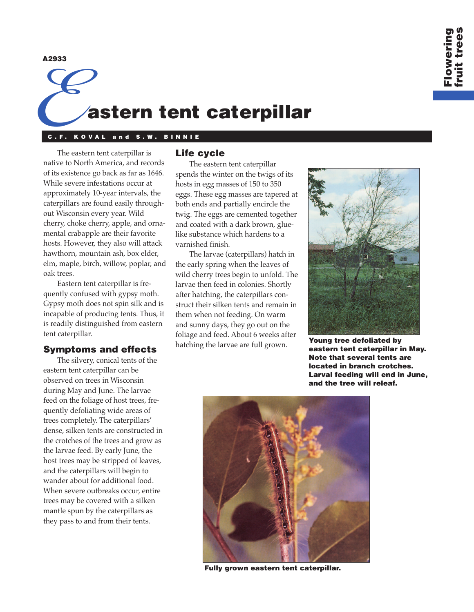**A2933**

# E**astern tent caterpillar**

## **C.F. KOVAL and S.W. BINNIE**

The eastern tent caterpillar is native to North America, and records of its existence go back as far as 1646. While severe infestations occur at approximately 10-year intervals, the caterpillars are found easily throughout Wisconsin every year. Wild cherry, choke cherry, apple, and ornamental crabapple are their favorite hosts. However, they also will attack hawthorn, mountain ash, box elder, elm, maple, birch, willow, poplar, and oak trees.

Eastern tent caterpillar is frequently confused with gypsy moth. Gypsy moth does not spin silk and is incapable of producing tents. Thus, it is readily distinguished from eastern tent caterpillar.

## **Symptoms and effects**

The silvery, conical tents of the eastern tent caterpillar can be observed on trees in Wisconsin during May and June. The larvae feed on the foliage of host trees, frequently defoliating wide areas of trees completely. The caterpillars' dense, silken tents are constructed in the crotches of the trees and grow as the larvae feed. By early June, the host trees may be stripped of leaves, and the caterpillars will begin to wander about for additional food. When severe outbreaks occur, entire trees may be covered with a silken mantle spun by the caterpillars as they pass to and from their tents.

# **Life cycle**

The eastern tent caterpillar spends the winter on the twigs of its hosts in egg masses of 150 to 350 eggs. These egg masses are tapered at both ends and partially encircle the twig. The eggs are cemented together and coated with a dark brown, gluelike substance which hardens to a varnished finish.

The larvae (caterpillars) hatch in the early spring when the leaves of wild cherry trees begin to unfold. The larvae then feed in colonies. Shortly after hatching, the caterpillars construct their silken tents and remain in them when not feeding. On warm and sunny days, they go out on the foliage and feed. About 6 weeks after hatching the larvae are full grown.



**Young tree defoliated by eastern tent caterpillar in May. Note that several tents are located in branch crotches. Larval feeding will end in June, and the tree will releaf.**



**Fully grown eastern tent caterpillar.**